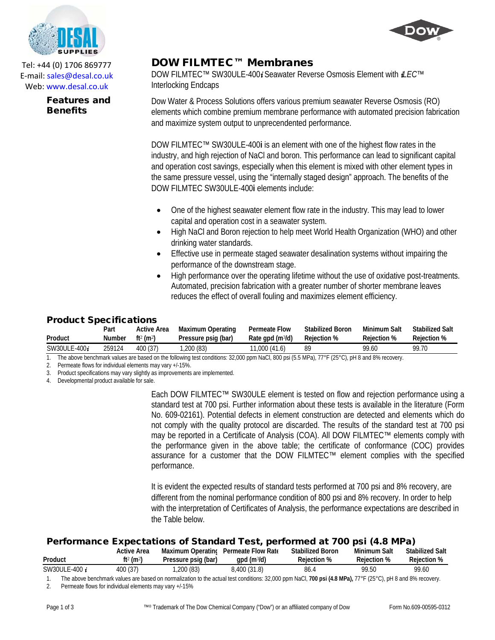

Tel: +44 (0) 1706 869777 E‐mail: sales@desal.co.uk Web: www.desal.co.uk

> Features and **Benefits**

## DOW FILMTEC™ Membranes

DOW FILMTEC™ SW30ULE-400*i* Seawater Reverse Osmosis Element with *iLEC™* Interlocking Endcaps

Dow Water & Process Solutions offers various premium seawater Reverse Osmosis (RO) elements which combine premium membrane performance with automated precision fabrication and maximize system output to unprecendented performance.

DOW FILMTEC™ SW30ULE-400**i** is an element with one of the highest flow rates in the industry, and high rejection of NaCl and boron. This performance can lead to significant capital and operation cost savings, especially when this element is mixed with other element types in the same pressure vessel, using the "internally staged design" approach. The benefits of the DOW FILMTEC SW30ULE-400**i** elements include:

- One of the highest seawater element flow rate in the industry. This may lead to lower capital and operation cost in a seawater system.
- High NaCl and Boron rejection to help meet World Health Organization (WHO) and other drinking water standards.
- Effective use in permeate staged seawater desalination systems without impairing the performance of the downstream stage.
- High performance over the operating lifetime without the use of oxidative post-treatments. Automated, precision fabrication with a greater number of shorter membrane leaves reduces the effect of overall fouling and maximizes element efficiency.

## Product Specifications

| Product         | Part   | <b>Active Area</b>                | Maximum Operating   | <b>Permeate Flow</b> | <b>Stabilized Boron</b> | Minimum Salt | Stabilized Salt |
|-----------------|--------|-----------------------------------|---------------------|----------------------|-------------------------|--------------|-----------------|
|                 | Number | ft <sup>2</sup> (m <sup>2</sup> ) | Pressure psig (bar) | Rate apd $(m^3/d)$   | <b>Rejection %</b>      | Reiection %  | Reiection %     |
| SW30ULE-400 $i$ | 259124 | 400 (37)                          | .200(83)            | 11,000 (41.6)        | 89                      | 99.60        | 99.70           |

1. The above benchmark values are based on the following test conditions: 32,000 ppm NaCl, 800 psi (5.5 MPa), 77°F (25°C), pH 8 and 8% recovery.

2. Permeate flows for individual elements may vary +/-15%.

3. Product specifications may vary slightly as improvements are implemented.

4. Developmental product available for sale.

Each DOW FILMTEC™ SW30ULE element is tested on flow and rejection performance using a standard test at 700 psi. Further information about these tests is available in the literature (Form No. 609-02161). Potential defects in element construction are detected and elements which do not comply with the quality protocol are discarded. The results of the standard test at 700 psi may be reported in a Certificate of Analysis (COA). All DOW FILMTEC™ elements comply with the performance given in the above table; the certificate of conformance (COC) provides assurance for a customer that the DOW FILMTEC™ element complies with the specified performance.

It is evident the expected results of standard tests performed at 700 psi and 8% recovery, are different from the nominal performance condition of 800 psi and 8% recovery. In order to help with the interpretation of Certificates of Analysis, the performance expectations are described in the Table below.

## Performance Expectations of Standard Test, performed at 700 psi (4.8 MPa)

|               | Active Area                       | <b>Maximum Operating</b> | Permeate Flow Rate<br>qpd $(m^3/d)$ | <b>Stabilized Boron</b> | <b>Minimum Salt</b><br>Reiection %                                                                                                                                                                                                                                                                                                 | <b>Stabilized Salt</b><br><b>Rejection %</b> |
|---------------|-----------------------------------|--------------------------|-------------------------------------|-------------------------|------------------------------------------------------------------------------------------------------------------------------------------------------------------------------------------------------------------------------------------------------------------------------------------------------------------------------------|----------------------------------------------|
| Product       | ft <sup>2</sup> (m <sup>2</sup> ) | Pressure psig (bar)      |                                     | <b>Rejection %</b>      |                                                                                                                                                                                                                                                                                                                                    |                                              |
| SW30ULE-400 i | 400(37)                           | ,200(83)                 | 8.400 (31.8)                        | 86.4                    | 99.50                                                                                                                                                                                                                                                                                                                              | 99.60                                        |
|               |                                   |                          | 0.0.00                              | $\cdots$ $\cdots$       | $\mathbf{1}$ $\mathbf{1}$ $\mathbf{2}$ $\mathbf{3}$ $\mathbf{3}$ $\mathbf{4}$ $\mathbf{5}$ $\mathbf{5}$ $\mathbf{1}$ $\mathbf{5}$ $\mathbf{5}$ $\mathbf{6}$ $\mathbf{6}$ $\mathbf{7}$ $\mathbf{8}$ $\mathbf{8}$ $\mathbf{1}$ $\mathbf{1}$ $\mathbf{1}$ $\mathbf{5}$ $\mathbf{1}$ $\mathbf{1}$ $\mathbf{1}$ $\mathbf{1}$ $\mathbf{$ | $\cdots$                                     |

The above benchmark values are based on normalization to the actual test conditions: 32,000 ppm NaCl, 700 psi (4.8 MPa), 77°F (25°C), pH 8 and 8% recovery.

2. Permeate flows for individual elements may vary +/-15%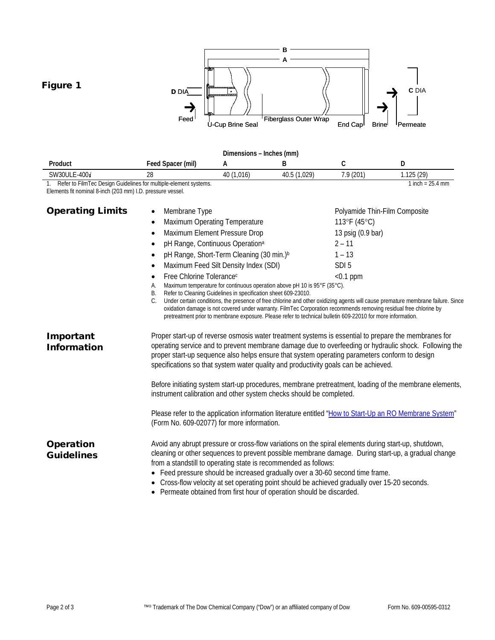

- Feed pressure should be increased gradually over a 30-60 second time frame.
- Cross-flow velocity at set operating point should be achieved gradually over 15-20 seconds.
- Permeate obtained from first hour of operation should be discarded.